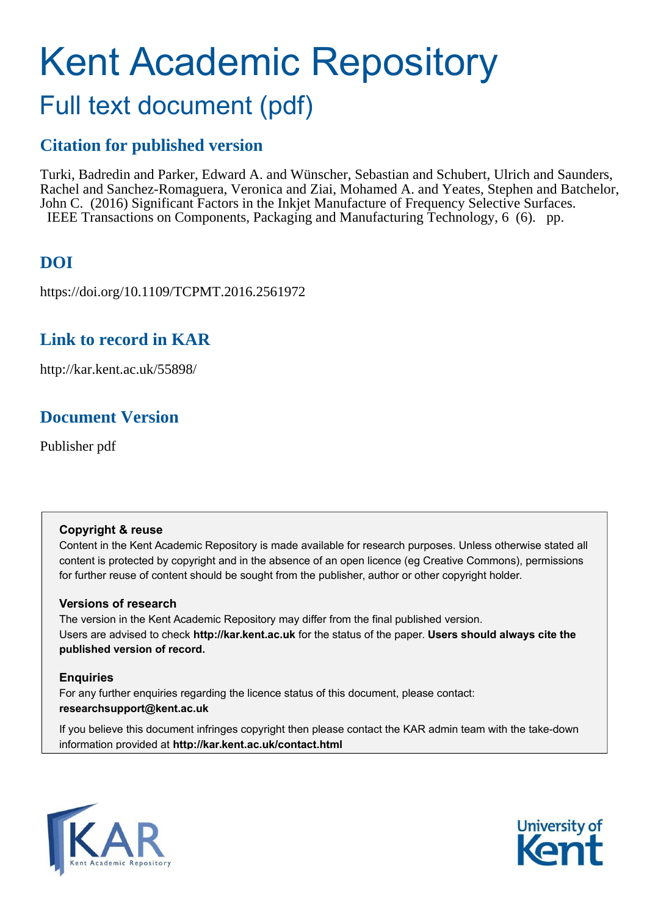# Kent Academic Repository Full text document (pdf)

### **Citation for published version**

Turki, Badredin and Parker, Edward A. and Wünscher, Sebastian and Schubert, Ulrich and Saunders, Rachel and Sanchez-Romaguera, Veronica and Ziai, Mohamed A. and Yeates, Stephen and Batchelor, John C. (2016) Significant Factors in the Inkjet Manufacture of Frequency Selective Surfaces. IEEE Transactions on Components, Packaging and Manufacturing Technology, 6 (6). pp.

### **DOI**

https://doi.org/10.1109/TCPMT.2016.2561972

### **Link to record in KAR**

http://kar.kent.ac.uk/55898/

### **Document Version**

Publisher pdf

#### **Copyright & reuse**

Content in the Kent Academic Repository is made available for research purposes. Unless otherwise stated all content is protected by copyright and in the absence of an open licence (eg Creative Commons), permissions for further reuse of content should be sought from the publisher, author or other copyright holder.

#### **Versions of research**

The version in the Kent Academic Repository may differ from the final published version. Users are advised to check **http://kar.kent.ac.uk** for the status of the paper. **Users should always cite the published version of record.**

#### **Enquiries**

For any further enquiries regarding the licence status of this document, please contact: **researchsupport@kent.ac.uk**

If you believe this document infringes copyright then please contact the KAR admin team with the take-down information provided at **http://kar.kent.ac.uk/contact.html**



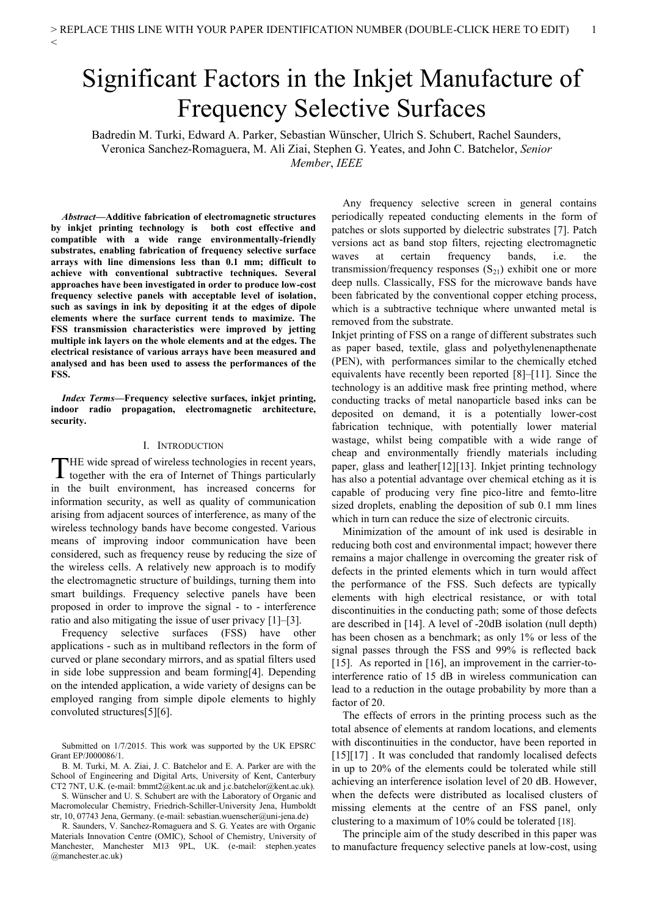## Significant Factors in the Inkjet Manufacture of Frequency Selective Surfaces

Badredin M. Turki, Edward A. Parker, Sebastian Wünscher, Ulrich S. Schubert, Rachel Saunders, Veronica Sanchez-Romaguera, M. Ali Ziai, Stephen G. Yeates, and John C. Batchelor, *Senior Member*, *IEEE*

*Abstract***—Additive fabrication of electromagnetic structures by inkjet printing technology is both cost effective and compatible with a wide range environmentally-friendly substrates, enabling fabrication of frequency selective surface arrays with line dimensions less than 0.1 mm; difficult to achieve with conventional subtractive techniques. Several approaches have been investigated in order to produce low-cost frequency selective panels with acceptable level of isolation, such as savings in ink by depositing it at the edges of dipole elements where the surface current tends to maximize. The FSS transmission characteristics were improved by jetting multiple ink layers on the whole elements and at the edges. The electrical resistance of various arrays have been measured and analysed and has been used to assess the performances of the FSS.** 

*Index Terms***—Frequency selective surfaces, inkjet printing, indoor radio propagation, electromagnetic architecture, security.** 

#### I. INTRODUCTION

HE wide spread of wireless technologies in recent years, THE wide spread of wireless technologies in recent years,<br>together with the era of Internet of Things particularly in the built environment, has increased concerns for information security, as well as quality of communication arising from adjacent sources of interference, as many of the wireless technology bands have become congested. Various means of improving indoor communication have been considered, such as frequency reuse by reducing the size of the wireless cells. A relatively new approach is to modify the electromagnetic structure of buildings, turning them into smart buildings. Frequency selective panels have been proposed in order to improve the signal - to - interference ratio and also mitigating the issue of user privacy [1]–[3].

Frequency selective surfaces (FSS) have other applications - such as in multiband reflectors in the form of curved or plane secondary mirrors, and as spatial filters used in side lobe suppression and beam forming[4]. Depending on the intended application, a wide variety of designs can be employed ranging from simple dipole elements to highly convoluted structures[5][6].

Any frequency selective screen in general contains periodically repeated conducting elements in the form of patches or slots supported by dielectric substrates [7]. Patch versions act as band stop filters, rejecting electromagnetic waves at certain frequency bands, i.e. the transmission/frequency responses  $(S_{21})$  exhibit one or more deep nulls. Classically, FSS for the microwave bands have been fabricated by the conventional copper etching process, which is a subtractive technique where unwanted metal is removed from the substrate.

Inkjet printing of FSS on a range of different substrates such as paper based, textile, glass and polyethylenenapthenate (PEN), with performances similar to the chemically etched equivalents have recently been reported [8]–[11]. Since the technology is an additive mask free printing method, where conducting tracks of metal nanoparticle based inks can be deposited on demand, it is a potentially lower-cost fabrication technique, with potentially lower material wastage, whilst being compatible with a wide range of cheap and environmentally friendly materials including paper, glass and leather[12][13]. Inkjet printing technology has also a potential advantage over chemical etching as it is capable of producing very fine pico-litre and femto-litre sized droplets, enabling the deposition of sub 0.1 mm lines which in turn can reduce the size of electronic circuits.

Minimization of the amount of ink used is desirable in reducing both cost and environmental impact; however there remains a major challenge in overcoming the greater risk of defects in the printed elements which in turn would affect the performance of the FSS. Such defects are typically elements with high electrical resistance, or with total discontinuities in the conducting path; some of those defects are described in [14]. A level of -20dB isolation (null depth) has been chosen as a benchmark; as only 1% or less of the signal passes through the FSS and 99% is reflected back [15]. As reported in [16], an improvement in the carrier-tointerference ratio of 15 dB in wireless communication can lead to a reduction in the outage probability by more than a factor of 20.

The effects of errors in the printing process such as the total absence of elements at random locations, and elements with discontinuities in the conductor, have been reported in [15][17] . It was concluded that randomly localised defects in up to 20% of the elements could be tolerated while still achieving an interference isolation level of 20 dB. However, when the defects were distributed as localised clusters of missing elements at the centre of an FSS panel, only clustering to a maximum of 10% could be tolerated [18].

The principle aim of the study described in this paper was to manufacture frequency selective panels at low-cost, using

Submitted on 1/7/2015. This work was supported by the UK EPSRC Grant EP/J000086/1.

B. M. Turki, M. A. Ziai, J. C. Batchelor and E. A. Parker are with the School of Engineering and Digital Arts, University of Kent, Canterbury CT2 7NT, U.K. (e-mail: bmmt2@kent.ac.uk and j.c.batchelor@kent.ac.uk).

S. Wünscher and U. S. Schubert are with the Laboratory of Organic and Macromolecular Chemistry, Friedrich-Schiller-University Jena, Humboldt str, 10, 07743 Jena, Germany. (e-mail: sebastian.wuenscher@uni-jena.de)

R. Saunders, V. Sanchez-Romaguera and S. G. Yeates are with Organic Materials Innovation Centre (OMIC), School of Chemistry, University of Manchester, Manchester M13 9PL, UK. (e-mail: stephen.yeates @manchester.ac.uk)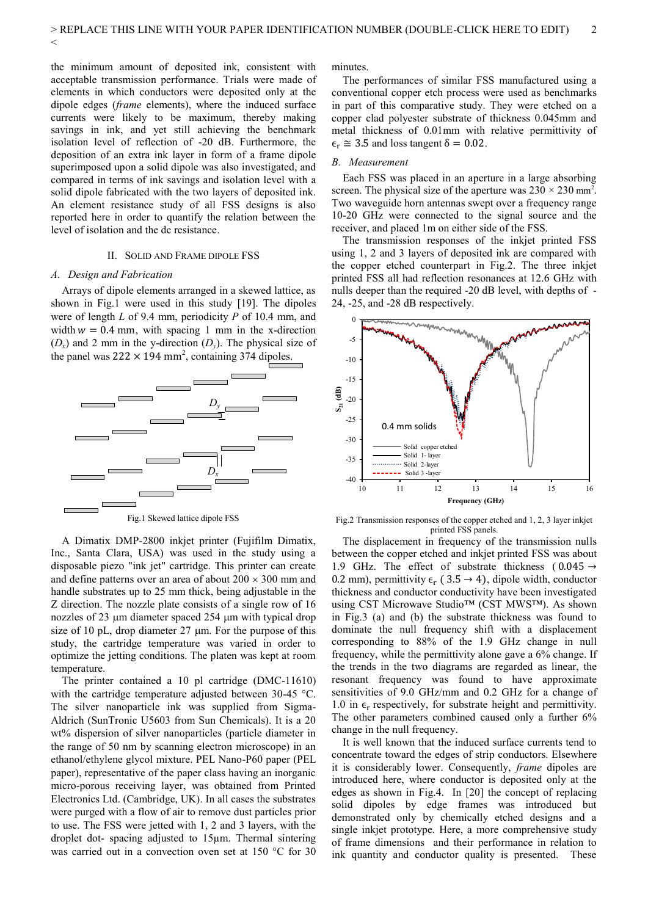the minimum amount of deposited ink, consistent with acceptable transmission performance. Trials were made of elements in which conductors were deposited only at the dipole edges (*frame* elements), where the induced surface currents were likely to be maximum, thereby making savings in ink, and yet still achieving the benchmark isolation level of reflection of -20 dB. Furthermore, the deposition of an extra ink layer in form of a frame dipole superimposed upon a solid dipole was also investigated, and compared in terms of ink savings and isolation level with a solid dipole fabricated with the two layers of deposited ink. An element resistance study of all FSS designs is also reported here in order to quantify the relation between the level of isolation and the dc resistance.

#### II. SOLID AND FRAME DIPOLE FSS

#### *A. Design and Fabrication*

 $\lt$ 

Arrays of dipole elements arranged in a skewed lattice, as shown in Fig.1 were used in this study [19]. The dipoles were of length *L* of 9.4 mm, periodicity *P* of 10.4 mm, and width  $w = 0.4$  mm, with spacing 1 mm in the x-direction  $(D_x)$  and 2 mm in the y-direction  $(D_y)$ . The physical size of the panel was  $222 \times 194$  mm<sup>2</sup>, containing 374 dipoles.



A Dimatix DMP-2800 inkjet printer (Fujifilm Dimatix, Inc., Santa Clara, USA) was used in the study using a disposable piezo "ink jet" cartridge. This printer can create and define patterns over an area of about  $200 \times 300$  mm and handle substrates up to 25 mm thick, being adjustable in the Z direction. The nozzle plate consists of a single row of 16 nozzles of  $23 \mu m$  diameter spaced  $254 \mu m$  with typical drop size of 10 pL, drop diameter  $27 \mu m$ . For the purpose of this study, the cartridge temperature was varied in order to optimize the jetting conditions. The platen was kept at room temperature.

The printer contained a 10 pl cartridge (DMC-11610) with the cartridge temperature adjusted between 30-45 °C. The silver nanoparticle ink was supplied from Sigma-Aldrich (SunTronic U5603 from Sun Chemicals). It is a 20 wt% dispersion of silver nanoparticles (particle diameter in the range of 50 nm by scanning electron microscope) in an ethanol/ethylene glycol mixture. PEL Nano-P60 paper (PEL paper), representative of the paper class having an inorganic micro-porous receiving layer, was obtained from Printed Electronics Ltd. (Cambridge, UK). In all cases the substrates were purged with a flow of air to remove dust particles prior to use. The FSS were jetted with 1, 2 and 3 layers, with the droplet dot- spacing adjusted to 15µm. Thermal sintering was carried out in a convection oven set at 150 °C for 30 minutes.

The performances of similar FSS manufactured using a conventional copper etch process were used as benchmarks in part of this comparative study. They were etched on a copper clad polyester substrate of thickness 0.045mm and metal thickness of 0.01mm with relative permittivity of  $\epsilon_r \approx 3.5$  and loss tangent  $\delta = 0.02$ .

#### *B. Measurement*

Each FSS was placed in an aperture in a large absorbing screen. The physical size of the aperture was  $230 \times 230$  mm<sup>2</sup>. Two waveguide horn antennas swept over a frequency range 10-20 GHz were connected to the signal source and the receiver, and placed 1m on either side of the FSS.

The transmission responses of the inkjet printed FSS using 1, 2 and 3 layers of deposited ink are compared with the copper etched counterpart in Fig.2. The three inkjet printed FSS all had reflection resonances at 12.6 GHz with nulls deeper than the required -20 dB level, with depths of - 24, -25, and -28 dB respectively.



Fig.2 Transmission responses of the copper etched and 1, 2, 3 layer inkjet printed FSS panels.

The displacement in frequency of the transmission nulls between the copper etched and inkjet printed FSS was about 1.9 GHz. The effect of substrate thickness ( $0.045 \rightarrow$ 0.2 mm), permittivity  $\epsilon_r$  (3.5  $\rightarrow$  4), dipole width, conductor thickness and conductor conductivity have been investigated using CST Microwave Studio™ (CST MWS™). As shown in Fig.3 (a) and (b) the substrate thickness was found to dominate the null frequency shift with a displacement corresponding to 88% of the 1.9 GHz change in null frequency, while the permittivity alone gave a 6% change. If the trends in the two diagrams are regarded as linear, the resonant frequency was found to have approximate sensitivities of 9.0 GHz/mm and 0.2 GHz for a change of 1.0 in  $\epsilon_r$  respectively, for substrate height and permittivity. The other parameters combined caused only a further 6% change in the null frequency.

It is well known that the induced surface currents tend to concentrate toward the edges of strip conductors. Elsewhere it is considerably lower. Consequently, *frame* dipoles are introduced here, where conductor is deposited only at the edges as shown in Fig.4. In [20] the concept of replacing solid dipoles by edge frames was introduced but demonstrated only by chemically etched designs and a single inkjet prototype. Here, a more comprehensive study of frame dimensions and their performance in relation to ink quantity and conductor quality is presented. These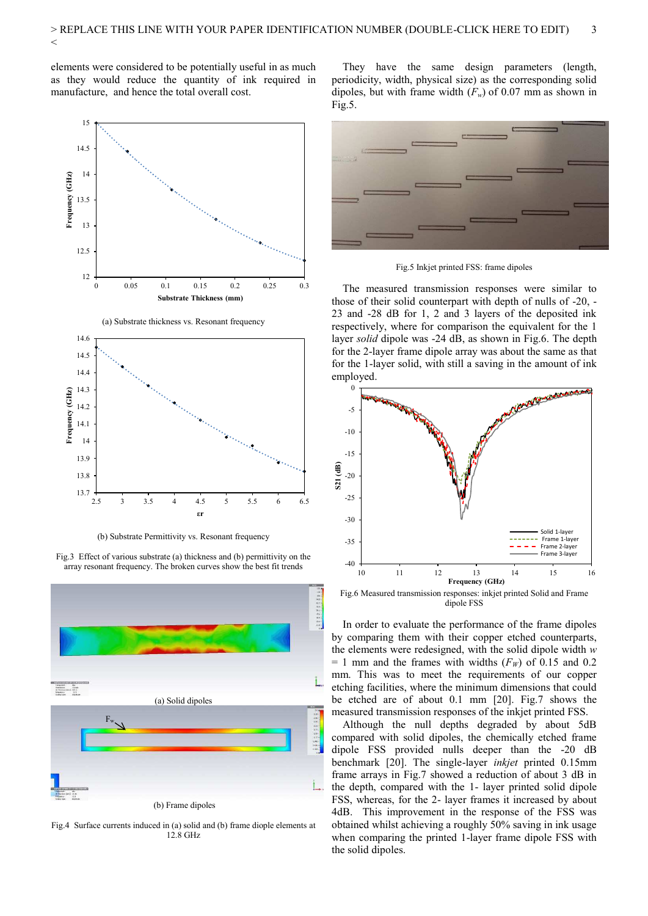elements were considered to be potentially useful in as much as they would reduce the quantity of ink required in manufacture, and hence the total overall cost.



(b) Substrate Permittivity vs. Resonant frequency

Fig.3 Effect of various substrate (a) thickness and (b) permittivity on the array resonant frequency. The broken curves show the best fit trends



Fig.4 Surface currents induced in (a) solid and (b) frame diople elements at 12.8 GHz

They have the same design parameters (length, periodicity, width, physical size) as the corresponding solid dipoles, but with frame width  $(F_w)$  of 0.07 mm as shown in Fig.5.



Fig.5 Inkjet printed FSS: frame dipoles

The measured transmission responses were similar to those of their solid counterpart with depth of nulls of -20, - 23 and -28 dB for 1, 2 and 3 layers of the deposited ink respectively, where for comparison the equivalent for the 1 layer *solid* dipole was -24 dB, as shown in Fig.6. The depth for the 2-layer frame dipole array was about the same as that for the 1-layer solid, with still a saving in the amount of ink employed.



dipole FSS

In order to evaluate the performance of the frame dipoles by comparing them with their copper etched counterparts, the elements were redesigned, with the solid dipole width *w*   $= 1$  mm and the frames with widths ( $F_W$ ) of 0.15 and 0.2 mm. This was to meet the requirements of our copper etching facilities, where the minimum dimensions that could be etched are of about 0.1 mm [20]. Fig.7 shows the measured transmission responses of the inkjet printed FSS.

Although the null depths degraded by about 5dB compared with solid dipoles, the chemically etched frame dipole FSS provided nulls deeper than the -20 dB benchmark [20]. The single-layer *inkjet* printed 0.15mm frame arrays in Fig.7 showed a reduction of about 3 dB in the depth, compared with the 1- layer printed solid dipole FSS, whereas, for the 2- layer frames it increased by about 4dB. This improvement in the response of the FSS was obtained whilst achieving a roughly 50% saving in ink usage when comparing the printed 1-layer frame dipole FSS with the solid dipoles.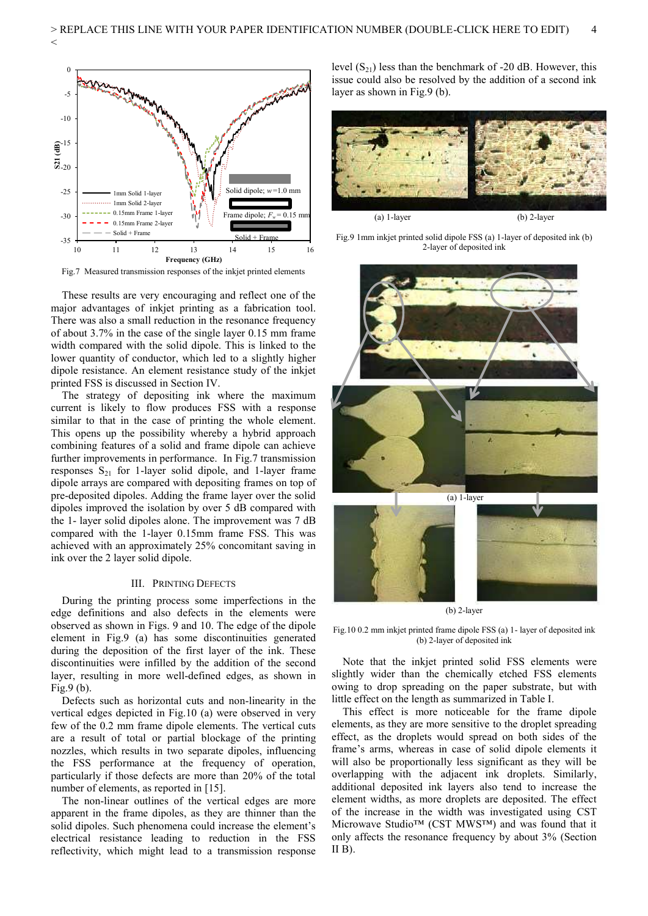

 $\lt$ 

Fig.7 Measured transmission responses of the inkjet printed elements

 These results are very encouraging and reflect one of the major advantages of inkjet printing as a fabrication tool. There was also a small reduction in the resonance frequency of about 3.7% in the case of the single layer 0.15 mm frame width compared with the solid dipole. This is linked to the lower quantity of conductor, which led to a slightly higher dipole resistance. An element resistance study of the inkjet printed FSS is discussed in Section IV.

The strategy of depositing ink where the maximum current is likely to flow produces FSS with a response similar to that in the case of printing the whole element. This opens up the possibility whereby a hybrid approach combining features of a solid and frame dipole can achieve further improvements in performance. In Fig.7 transmission responses  $S_{21}$  for 1-layer solid dipole, and 1-layer frame dipole arrays are compared with depositing frames on top of pre-deposited dipoles. Adding the frame layer over the solid dipoles improved the isolation by over 5 dB compared with the 1- layer solid dipoles alone. The improvement was 7 dB compared with the 1-layer 0.15mm frame FSS. This was achieved with an approximately 25% concomitant saving in ink over the 2 layer solid dipole.

#### III. PRINTING DEFECTS

During the printing process some imperfections in the edge definitions and also defects in the elements were observed as shown in Figs. 9 and 10. The edge of the dipole element in Fig.9 (a) has some discontinuities generated during the deposition of the first layer of the ink. These discontinuities were infilled by the addition of the second layer, resulting in more well-defined edges, as shown in Fig.9 (b).

Defects such as horizontal cuts and non-linearity in the vertical edges depicted in Fig.10 (a) were observed in very few of the 0.2 mm frame dipole elements. The vertical cuts are a result of total or partial blockage of the printing nozzles, which results in two separate dipoles, influencing the FSS performance at the frequency of operation, particularly if those defects are more than 20% of the total number of elements, as reported in [15].

The non-linear outlines of the vertical edges are more apparent in the frame dipoles, as they are thinner than the solid dipoles. Such phenomena could increase the element's electrical resistance leading to reduction in the FSS reflectivity, which might lead to a transmission response level  $(S_{21})$  less than the benchmark of -20 dB. However, this issue could also be resolved by the addition of a second ink layer as shown in Fig.9 (b).



(a) 1-layer (b) 2-layer

Fig.9 1mm inkjet printed solid dipole FSS (a) 1-layer of deposited ink (b) 2-layer of deposited ink



(b) 2-layer

Fig.10 0.2 mm inkjet printed frame dipole FSS (a) 1- layer of deposited ink (b) 2-layer of deposited ink

Note that the inkjet printed solid FSS elements were slightly wider than the chemically etched FSS elements owing to drop spreading on the paper substrate, but with little effect on the length as summarized in Table I.

This effect is more noticeable for the frame dipole elements, as they are more sensitive to the droplet spreading effect, as the droplets would spread on both sides of the frame's arms, whereas in case of solid dipole elements it will also be proportionally less significant as they will be overlapping with the adjacent ink droplets. Similarly, additional deposited ink layers also tend to increase the element widths, as more droplets are deposited. The effect of the increase in the width was investigated using CST Microwave Studio™ (CST MWS™) and was found that it only affects the resonance frequency by about 3% (Section  $II$  B).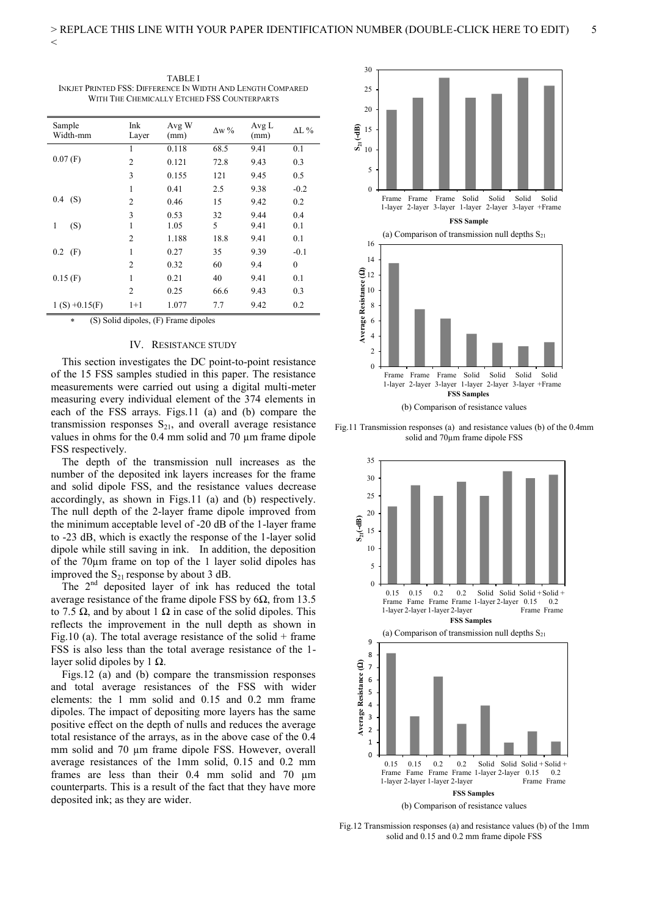| ۱<br>٧<br>۰. |  |
|--------------|--|
| v            |  |
| ×            |  |
| ×<br>v.      |  |
|              |  |
|              |  |
|              |  |

| Sample<br>Width-mm | Ink<br>Layer   | Avg W<br>(mm) | $\Delta$ w % | Avg L<br>(mm) | $\Delta L$ %     |
|--------------------|----------------|---------------|--------------|---------------|------------------|
|                    | 1              | 0.118         | 68.5         | 9.41          | 0.1              |
| $0.07$ (F)         | $\overline{2}$ | 0.121         | 72.8         | 9.43          | 0.3              |
|                    | 3              | 0.155         | 121          | 9.45          | 0.5              |
|                    | 1              | 0.41          | 2.5          | 9.38          | $-0.2$           |
| (S)<br>0.4         | $\overline{c}$ | 0.46          | 15           | 9.42          | 0.2              |
|                    | 3              | 0.53          | 32           | 9.44          | 0.4              |
| (S)<br>1           | 1              | 1.05          | 5            | 9.41          | 0.1              |
|                    | $\overline{2}$ | 1.188         | 18.8         | 9.41          | 0.1              |
| (F)<br>0.2         | 1              | 0.27          | 35           | 9.39          | $-0.1$           |
|                    | $\overline{c}$ | 0.32          | 60           | 9.4           | $\boldsymbol{0}$ |
| $0.15$ (F)         | 1              | 0.21          | 40           | 9.41          | 0.1              |
|                    | $\overline{c}$ | 0.25          | 66.6         | 9.43          | 0.3              |
| $1(S) + 0.15(F)$   | $1 + 1$        | 1.077         | 7.7          | 9.42          | 0.2              |

TABLE I INKJET PRINTED FSS: DIFFERENCE IN WIDTH AND LENGTH COMPARED WITH THE CHEMICALLY ETCHED FSS COUNTERPARTS

(S) Solid dipoles, (F) Frame dipoles

#### IV. RESISTANCE STUDY

This section investigates the DC point-to-point resistance of the 15 FSS samples studied in this paper. The resistance measurements were carried out using a digital multi-meter measuring every individual element of the 374 elements in each of the FSS arrays. Figs.11 (a) and (b) compare the transmission responses  $S_{21}$ , and overall average resistance values in ohms for the 0.4 mm solid and 70 um frame dipole FSS respectively.

The depth of the transmission null increases as the number of the deposited ink layers increases for the frame and solid dipole FSS, and the resistance values decrease accordingly, as shown in Figs.11 (a) and (b) respectively. The null depth of the 2-layer frame dipole improved from the minimum acceptable level of -20 dB of the 1-layer frame to -23 dB, which is exactly the response of the 1-layer solid dipole while still saving in ink. In addition, the deposition of the 70µm frame on top of the 1 layer solid dipoles has improved the  $S_{21}$  response by about 3 dB.

The  $2<sup>nd</sup>$  deposited layer of ink has reduced the total average resistance of the frame dipole FSS by  $6\Omega$ , from 13.5 to 7.5  $\Omega$ , and by about 1  $\Omega$  in case of the solid dipoles. This reflects the improvement in the null depth as shown in Fig.10 (a). The total average resistance of the solid  $+$  frame FSS is also less than the total average resistance of the 1 layer solid dipoles by 1  $\Omega$ .

Figs.12 (a) and (b) compare the transmission responses and total average resistances of the FSS with wider elements: the 1 mm solid and 0.15 and 0.2 mm frame dipoles. The impact of depositing more layers has the same positive effect on the depth of nulls and reduces the average total resistance of the arrays, as in the above case of the 0.4 mm solid and 70  $\mu$ m frame dipole FSS. However, overall average resistances of the 1mm solid, 0.15 and 0.2 mm frames are less than their 0.4 mm solid and 70 µm counterparts. This is a result of the fact that they have more deposited ink; as they are wider.



Fig.11 Transmission responses (a) and resistance values (b) of the 0.4mm solid and 70µm frame dipole FSS



Fig.12 Transmission responses (a) and resistance values (b) of the 1mm solid and 0.15 and 0.2 mm frame dipole FSS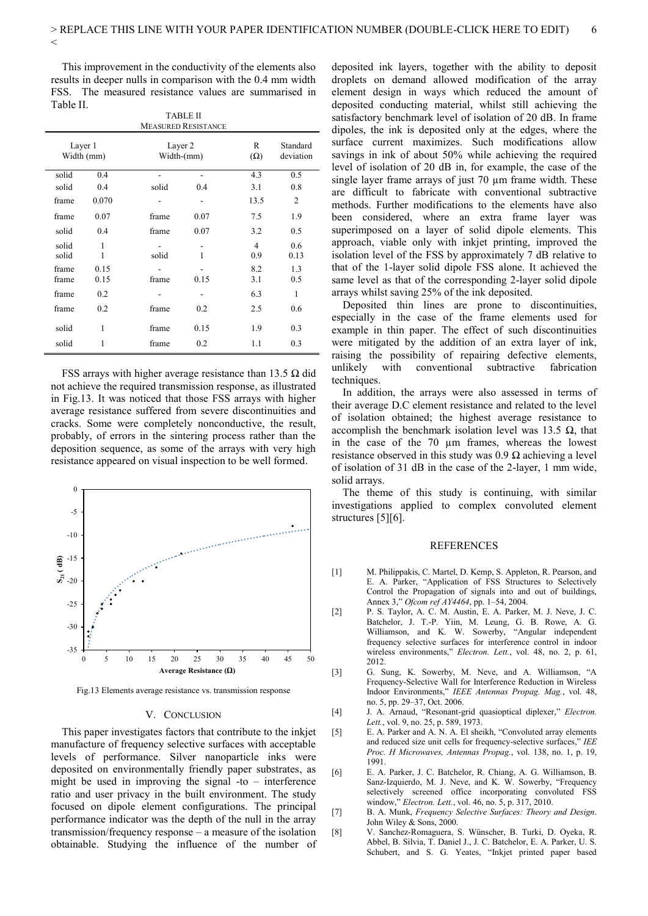This improvement in the conductivity of the elements also results in deeper nulls in comparison with the 0.4 mm width FSS. The measured resistance values are summarised in Table II.

 $\lt$ 

| <b>TABLE II</b><br><b>MEASURED RESISTANCE</b> |                       |       |                       |                       |                 |                       |  |  |  |
|-----------------------------------------------|-----------------------|-------|-----------------------|-----------------------|-----------------|-----------------------|--|--|--|
|                                               | Layer 2<br>Width-(mm) |       | Layer 1<br>Width (mm) |                       | R<br>$(\Omega)$ | Standard<br>deviation |  |  |  |
| solid                                         | 0.4                   |       |                       | 4.3                   | 0.5             |                       |  |  |  |
| solid                                         | 0.4                   | solid | 0.4                   | 3.1                   | 0.8             |                       |  |  |  |
| frame                                         | 0.070                 |       |                       | 13.5                  | $\overline{2}$  |                       |  |  |  |
| frame                                         | 0.07                  | frame | 0.07                  | 7.5                   | 1.9             |                       |  |  |  |
| solid                                         | 0.4                   | frame | 0.07                  | 3.2                   | 0.5             |                       |  |  |  |
| solid<br>solid                                | 1<br>1                | solid | 1                     | $\overline{4}$<br>0.9 | 0.6<br>0.13     |                       |  |  |  |
| frame<br>frame                                | 0.15<br>0.15          | frame | 0.15                  | 8.2<br>3.1            | 1.3<br>0.5      |                       |  |  |  |
| frame                                         | 0.2                   |       |                       | 6.3                   | 1               |                       |  |  |  |
| frame                                         | 0.2                   | frame | 0.2                   | 2.5                   | 0.6             |                       |  |  |  |
| solid                                         | 1                     | frame | 0.15                  | 1.9                   | 0.3             |                       |  |  |  |
| solid                                         | 1                     | frame | 0.2                   | 1.1                   | 0.3             |                       |  |  |  |

FSS arrays with higher average resistance than 13.5  $\Omega$  did not achieve the required transmission response, as illustrated in Fig.13. It was noticed that those FSS arrays with higher average resistance suffered from severe discontinuities and cracks. Some were completely nonconductive, the result, probably, of errors in the sintering process rather than the deposition sequence, as some of the arrays with very high resistance appeared on visual inspection to be well formed.



Fig.13 Elements average resistance vs. transmission response

#### V. CONCLUSION

This paper investigates factors that contribute to the inkjet manufacture of frequency selective surfaces with acceptable levels of performance. Silver nanoparticle inks were deposited on environmentally friendly paper substrates, as might be used in improving the signal -to – interference ratio and user privacy in the built environment. The study focused on dipole element configurations. The principal performance indicator was the depth of the null in the array transmission/frequency response – a measure of the isolation obtainable. Studying the influence of the number of

deposited ink layers, together with the ability to deposit droplets on demand allowed modification of the array element design in ways which reduced the amount of deposited conducting material, whilst still achieving the satisfactory benchmark level of isolation of 20 dB. In frame dipoles, the ink is deposited only at the edges, where the surface current maximizes. Such modifications allow savings in ink of about 50% while achieving the required level of isolation of 20 dB in, for example, the case of the single layer frame arrays of just 70 µm frame width. These are difficult to fabricate with conventional subtractive methods. Further modifications to the elements have also been considered, where an extra frame layer was superimposed on a layer of solid dipole elements. This approach, viable only with inkjet printing, improved the isolation level of the FSS by approximately 7 dB relative to that of the 1-layer solid dipole FSS alone. It achieved the same level as that of the corresponding 2-layer solid dipole arrays whilst saving 25% of the ink deposited.

Deposited thin lines are prone to discontinuities, especially in the case of the frame elements used for example in thin paper. The effect of such discontinuities were mitigated by the addition of an extra layer of ink, raising the possibility of repairing defective elements, unlikely with conventional subtractive fabrication techniques.

In addition, the arrays were also assessed in terms of their average D.C element resistance and related to the level of isolation obtained; the highest average resistance to accomplish the benchmark isolation level was 13.5  $\Omega$ , that in the case of the 70 µm frames, whereas the lowest resistance observed in this study was 0.9  $\Omega$  achieving a level of isolation of 31 dB in the case of the 2-layer, 1 mm wide, solid arrays.

The theme of this study is continuing, with similar investigations applied to complex convoluted element structures [5][6].

#### REFERENCES

- [1] M. Philippakis, C. Martel, D. Kemp, S. Appleton, R. Pearson, and E. A. Parker, "Application of FSS Structures to Selectively Control the Propagation of signals into and out of buildings, Annex 3," *Ofcom ref AY4464*, pp. 1–54, 2004.
- [2] P. S. Taylor, A. C. M. Austin, E. A. Parker, M. J. Neve, J. C. Batchelor, J. T.-P. Yiin, M. Leung, G. B. Rowe, A. G. Williamson, and K. W. Sowerby, "Angular independent frequency selective surfaces for interference control in indoor wireless environments," *Electron. Lett.*, vol. 48, no. 2, p. 61, 2012.
- [3] G. Sung, K. Sowerby, M. Neve, and A. Williamson, "A Frequency-Selective Wall for Interference Reduction in Wireless Indoor Environments," *IEEE Antennas Propag. Mag.*, vol. 48, no. 5, pp. 29–37, Oct. 2006.
- [4] J. A. Arnaud, "Resonant-grid quasioptical diplexer," *Electron. Lett.*, vol. 9, no. 25, p. 589, 1973.
- [5] E. A. Parker and A. N. A. El sheikh, "Convoluted array elements and reduced size unit cells for frequency-selective surfaces," *IEE Proc. H Microwaves, Antennas Propag.*, vol. 138, no. 1, p. 19, 1991.
- [6] E. A. Parker, J. C. Batchelor, R. Chiang, A. G. Williamson, B. Sanz-Izquierdo, M. J. Neve, and K. W. Sowerby, "Frequency selectively screened office incorporating convoluted FSS window," *Electron. Lett.*, vol. 46, no. 5, p. 317, 2010.
- [7] B. A. Munk, *Frequency Selective Surfaces: Theory and Design*. John Wiley & Sons, 2000.
- [8] V. Sanchez-Romaguera, S. Wünscher, B. Turki, D. Oyeka, R. Abbel, B. Silvia, T. Daniel J., J. C. Batchelor, E. A. Parker, U. S. Schubert, and S. G. Yeates, "Inkjet printed paper based